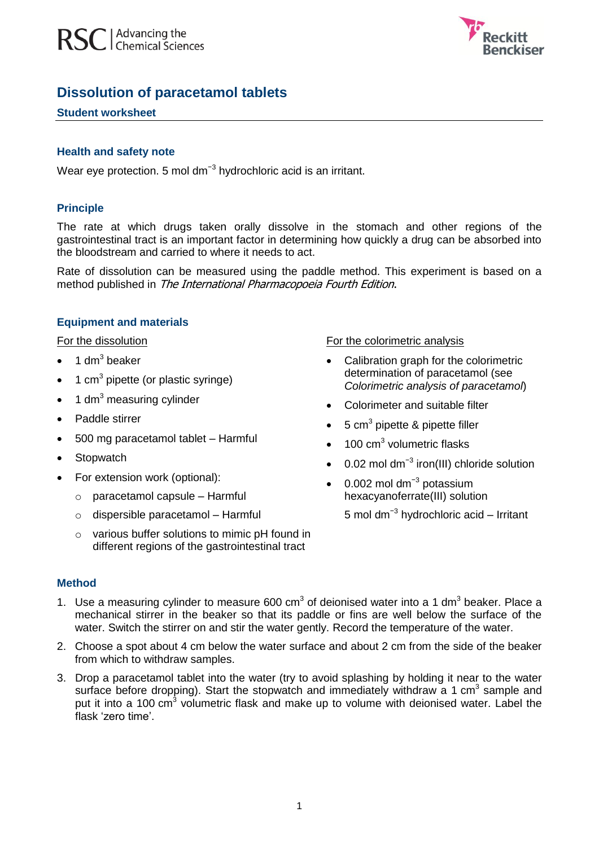



# **Dissolution of paracetamol tablets**

### **Student worksheet**

### **Health and safety note**

Wear eye protection. 5 mol dm<sup>-3</sup> hydrochloric acid is an irritant.

### **Principle**

The rate at which drugs taken orally dissolve in the stomach and other regions of the gastrointestinal tract is an important factor in determining how quickly a drug can be absorbed into the bloodstream and carried to where it needs to act.

Rate of dissolution can be measured using the paddle method. This experiment is based on a method published in The International Pharmacopoeia Fourth Edition.

### **Equipment and materials**

For the dissolution

- $\bullet$  1 dm<sup>3</sup> beaker
- $\bullet$  1 cm<sup>3</sup> pipette (or plastic syringe)
- $\bullet$  1 dm<sup>3</sup> measuring cylinder
- Paddle stirrer
- 500 mg paracetamol tablet Harmful
- Stopwatch
- For extension work (optional):
	- o paracetamol capsule Harmful
	- o dispersible paracetamol Harmful
	- o various buffer solutions to mimic pH found in different regions of the gastrointestinal tract

#### For the colorimetric analysis

- Calibration graph for the colorimetric determination of paracetamol (see *Colorimetric analysis of paracetamol*)
- Colorimeter and suitable filter
- $\bullet$  5 cm<sup>3</sup> pipette & pipette filler
- $\bullet$  100 cm<sup>3</sup> volumetric flasks
- 0.02 mol dm<sup>-3</sup> iron(III) chloride solution
- 0.002 mol dm<sup>-3</sup> potassium hexacyanoferrate(III) solution

5 mol dm−3 hydrochloric acid – Irritant

# **Method**

- 1. Use a measuring cylinder to measure 600  $cm<sup>3</sup>$  of deionised water into a 1 dm<sup>3</sup> beaker. Place a mechanical stirrer in the beaker so that its paddle or fins are well below the surface of the water. Switch the stirrer on and stir the water gently. Record the temperature of the water.
- 2. Choose a spot about 4 cm below the water surface and about 2 cm from the side of the beaker from which to withdraw samples.
- 3. Drop a paracetamol tablet into the water (try to avoid splashing by holding it near to the water surface before dropping). Start the stopwatch and immediately withdraw a 1 cm<sup>3</sup> sample and put it into a 100 cm<sup>3</sup> volumetric flask and make up to volume with deionised water. Label the flask 'zero time'.